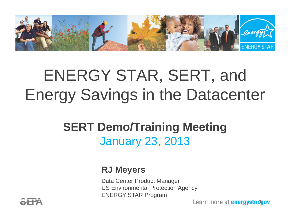

# ENERGY STAR, SERT, and Energy Savings in the Datacenter

#### **SERT Demo/Training Meeting**  January 23, 2013

#### **RJ Meyers**

Data Center Product Manager US Environmental Protection Agency, ENERGY STAR Program

1

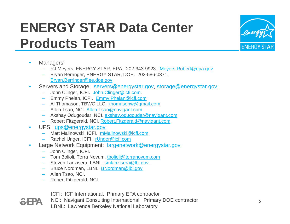#### **ENERGY STAR Data Center Products Team**



- • Managers:
	- RJ Meyers, ENERGY STAR, EPA. 202-343-9923. Meyers.Robert@epa.gov
	- Bryan Berringer, ENERGY STAR, DOE. 202-586-0371. Bryan.Berringer@ee.doe.gov
- • Servers and Storage: servers@energystar.gov, storage@energystar.gov
	- John Clinger, ICFI. John.Clinger@icfi.com.
	- Emmy Phelan, ICFI. Emmy.Phelan@icfi.com
	- Al Thomason, TBWC LLC. <u>thomasonw@gmail.com</u>
	- Allen Tsao, NCI. Allen.Tsao@navigant.com
	- Akshay Odugoudar, NCI. akshay.odugoudar@navigant.com
	- Robert Fitzgerald, NCI. Robert.Fitzgerald@navigant.com
- $\bullet$  UPS: ups@energystar.gov
	- Matt Malinowski, ICFI. mMalinowski@icfi.com.
	- Rachel Unger, ICFI. <u>rUnger@icfi.com</u>
- • Large Network Equipment: largenetwork@energystar.gov
	- John Clinger, ICFI.
	- Tom Bolioli, Terra Novum. <u>tbolioli@terranovum.com</u>
	- Steven Lanzisera, LBNL. <u>smlanzisera@lbl.gov</u>
	- Bruce Nordman, LBNL. BNordman@lbl.gov
	- Allen Tsao, NCI.
	- Robert Fitzgerald, NCI.

ICFI: ICF International. Primary EPA contractor

NCI: Navigant Consulting International. Primary DOE contractor

LBNL: Lawrence Berkeley National Laboratory

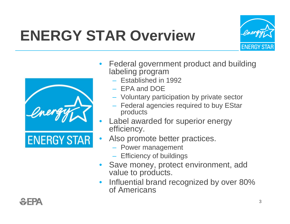# **ENERGY STAR Overview**

•





- • Federal government product and building labeling program
	- Established in 1992
	- EPA and DOE
	- Voluntary participation by private sector
	- $-$  Federal agencies required to buy EStar products
- • Label awarded for superior energy efficiency.
- Also promote better practices.
	- Power management
	- Efficiency of buildings
- • Save money, protect environment, add value to products.
- • Influential brand recognized by over 80% of Americans

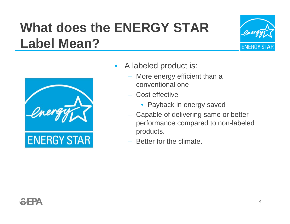### **What does the ENERGY STAR Label Mean?**





- $\bullet$  A labeled product is:
	- More energy efficient than a conventional one
	- Cost effective
		- Payback in energy saved
	- Capable of delivering same or better performance compared to non-labeled products.
	- Better for the climate.

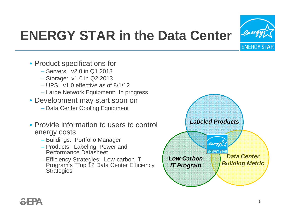

#### **ENERGY STAR in the Data Center**

- Product specifications for
	- Servers: v2.0 in Q1 2013
	- Storage: v1.0 in Q2 2013
	- UPS: v1.0 effective as of 8/1/12
	- Large Network Equipment: In progress
- Development may start soon on
	- Data Center Cooling Equipment
- Provide information to users to control energy costs.
	- Buildings: Portfolio Manager
	- Products: Labeling, Power and Performance Datasheet
	- Efficiency Strategies: Low-carbon IT Program's "Top 12 Data Center Efficiency Strategies"

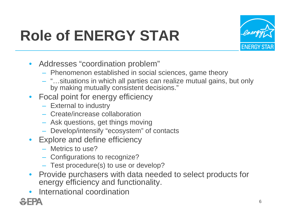# **Role of ENERGY STAR**



- Addresses "coordination problem"
	- Phenomenon established in social sciences, game theory
	- "…situations in which all parties can realize mutual gains, but only by making mutually consistent decisions."
- Focal point for energy efficiency
	- External to industry
	- Create/increase collaboration
	- Ask questions, get things moving
	- Develop/intensify "ecosystem" of contacts
- Explore and define efficiency
	- Metrics to use?
	- Configurations to recognize?
	- Test procedure(s) to use or develop?
- Provide purchasers with data needed to select products for energy efficiency and functionality.
- International coordination

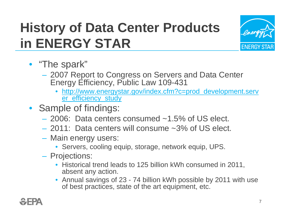### **History of Data Center Products in ENERGY STAR**



- "The spark"
	- – 2007 Report to Congress on Servers and Data Center Energy Efficiency, Public Law 109-431
		- http://www.energystar.gov/index.cfm?c=prod\_development.serv er\_efficiency\_study
- Sample of findings:
	- 2006: Data centers consumed ~1.5% of US elect.
	- 2011: Data centers will consume ~3% of US elect.
	- Main energy users:
		- Servers, cooling equip, storage, network equip, UPS.
	- Projections:
		- Historical trend leads to 125 billion kWh consumed in 2011, absent any action.
		- Annual savings of 23 74 billion kWh possible by 2011 with use of best practices, state of the art equipment, etc.

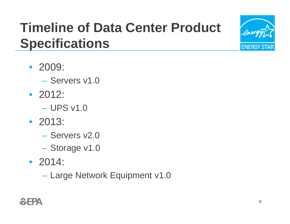### **Timeline of Data Center Product Specifications**

- 2009:
	- Servers v1.0
- 2012:
	- UPS v1.0
- 2013:
	- Servers v2.0
	- Storage v1.0
- 2014:
	- Large Network Equipment v1.0

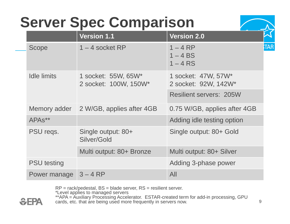# **Server Spec Comparison**

|                     | <b>Version 1.1</b>                           | <b>Version 2.0</b>                          |           |  |
|---------------------|----------------------------------------------|---------------------------------------------|-----------|--|
| Scope               | $1 - 4$ socket RP                            | $1 - 4RP$<br>$1 - 4 BS$<br>$1 - 4$ RS       |           |  |
| <b>Idle limits</b>  | 1 socket: 55W, 65W*<br>2 socket: 100W, 150W* | 1 socket: 47W, 57W*<br>2 socket: 92W, 142W* | <b>TA</b> |  |
|                     |                                              | <b>Resilient servers: 205W</b>              |           |  |
| Memory adder        | 2 W/GB, applies after 4GB                    | 0.75 W/GB, applies after 4GB                |           |  |
| APA <sub>s</sub> ** |                                              | Adding idle testing option                  |           |  |
| PSU regs.           | Single output: 80+<br>Silver/Gold            | Single output: 80+ Gold                     |           |  |
|                     | Multi output: 80+ Bronze                     | Multi output: 80+ Silver                    |           |  |
| <b>PSU testing</b>  |                                              | Adding 3-phase power                        |           |  |
| Power manage        | $3 - 4 RP$                                   | All                                         |           |  |

RP = rack/pedestal, BS = blade server, RS = resilient server.

\*Level applies to managed servers

\*\*APA = Auxiliary Processing Accelerator. ESTAR-created term for add-in processing, GPU cards, etc. that are being used more frequently in servers now.

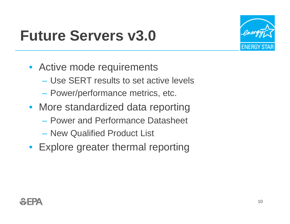### **Future Servers v3.0**



- Active mode requirements
	- Use SERT results to set active levels
	- –Power/performance metrics, etc.
- More standardized data reporting
	- Power and Performance Datasheet
	- New Qualified Product List
- Explore greater thermal reporting

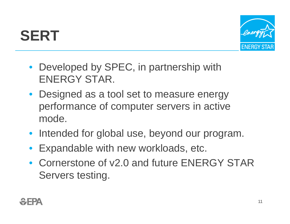# **SERT**



- Developed by SPEC, in partnership with ENERGY STAR.
- Designed as a tool set to measure energy performance of computer servers in active mode.
- Intended for global use, beyond our program.
- •Expandable with new workloads, etc.
- Cornerstone of v2.0 and future ENERGY STAR Servers testing.

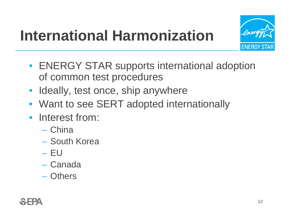# **International Harmonization**



- ENERGY STAR supports international adoption of common test procedures
- Ideally, test once, ship anywhere
- Want to see SERT adopted internationally
- Interest from:
	- China
	- South Korea
	- EU
	- Canada
	- Others

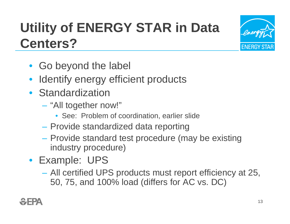### **Utility of ENERGY STAR in Data Centers?**

- Go beyond the label
- Identify energy efficient products
- Standardization
	- "All together now!"
		- See: Problem of coordination, earlier slide
	- Provide standardized data reporting
	- $\mathcal{L}_{\mathcal{A}}$ - Provide standard test procedure (may be existing industry procedure)
- Example: UPS
	- – All certified UPS products must report efficiency at 25, 50, 75, and 100% load (differs for AC vs. DC)

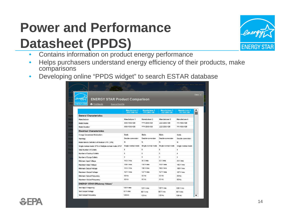### **Power and Performance Datasheet (PPDS)**



- •Contains information on product energy performance
- • Helps purchasers understand energy efficiency of their products, make comparisons
- $\bullet$ Developing online "PPDS widget" to search ESTAR database

| <b>ENERGY STAR Product Comparison</b>                            |                                       |                                       |                                       |                                       |
|------------------------------------------------------------------|---------------------------------------|---------------------------------------|---------------------------------------|---------------------------------------|
| <b>ENERGY STAR</b><br><b>Print Results</b><br>Save as Excel file |                                       |                                       |                                       |                                       |
|                                                                  |                                       |                                       |                                       |                                       |
|                                                                  | <b>Manufacturer 1</b><br>XXX-1500-120 | <b>Manufacturer 2</b><br>YYY-2000-120 | <b>Manufacturer 3</b><br>ZZZ-2200-120 | <b>Manufacturer 4</b><br>111-1500-120 |
| <b>General Characteristics</b>                                   |                                       |                                       |                                       |                                       |
| Manufacturer                                                     | Manufacturer 1                        | Manufacturer 2                        | Manufacturer 3                        | Manufacturer 4                        |
| <b>Model Name</b>                                                | XXX-1500-120                          | YYY-2000-120                          | ZZZ-2200-120                          | 111-1500-120                          |
| <b>Model Number</b>                                              | XXX-1500-120                          | YYY-2000-120                          | ZZZ-2200-120                          | 111-1500-120                          |
| <b>Electrical Characteristics</b>                                |                                       |                                       |                                       |                                       |
| <b>Energy Conversion Mechanism</b>                               | <b>Static</b>                         | Static                                | Static                                | <b>Static</b>                         |
| <b>Topology</b>                                                  | Double-conversion                     | Double-conversion                     | Double-conversion                     | Double-conversion                     |
| Model Meets Definition of Modular UPS (Y/N)                      | N                                     | N                                     | N                                     | N                                     |
| Single-normal-mode UPS or Multiple-normal-mode UPS?              | Single-normal-mode                    | Single-normal-mode                    | Single-normal-mode                    | Single-normal-mode                    |
| <b>Total Number of Outlets</b>                                   | 6                                     | 6                                     | 6                                     | $\overline{4}$                        |
| Number of Backup Outlets                                         | 6                                     | 6                                     | 6                                     | 4                                     |
| Number of Surge Outlets                                          | $\Omega$                              | $\Omega$                              | $\Omega$                              | $\mathbf{0}$                          |
| Minimum Input Voltage                                            | 110 V ms                              | 90 V rms                              | 90 V rms                              | 89 V rms                              |
| Maximum Input Voltage                                            | 130 V mms                             | 150 V rms                             | 150 V rms                             | 142 V rms                             |
| Minimum Output Voltage                                           | 110 V rms                             | 110 V rms                             | 110 V rms                             | 100 V rms                             |
| Maximum Output Voltage                                           | $127 V$ rms                           | 127 V rms                             | 127 V rms                             | $127V$ rms                            |
| Minimum Output Frequency                                         | 60 Hz                                 | 50 Hz                                 | 50 Hz                                 | 50 Hz                                 |
| Maximum Output Frequency                                         | 60 Hz                                 | 60 Hz                                 | 60 Hz                                 | 60 Hz                                 |
| <b>ENERGY STAR Efficiency Values<sup>1</sup></b>                 |                                       |                                       |                                       |                                       |
| <b>Test Input Frequency</b>                                      | $120V$ rms                            | 120 V rms                             | 120 V rms                             | 120 V rms                             |
| <b>Test Output Voltage</b>                                       | 60 V rms                              | 60 V rms                              | 60 V rms                              | 60 V rms                              |
| <b>Test Output Frequency</b>                                     | 120 Hz                                | 120 Hz                                | 120 Hz                                | 120 Hz                                |

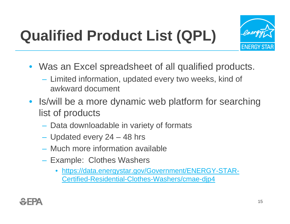# **Qualified Product List (QPL)**



- Was an Excel spreadsheet of all qualified products.
	- Limited information, updated every two weeks, kind of awkward document
- Is/will be a more dynamic web platform for searching list of products
	- Data downloadable in variety of formats
	- Updated every 24 48 hrs
	- Much more information available
	- –- Example: Clothes Washers
		- $\bullet$  https://data.energystar.gov/Government/ENERGY-STAR-Certified-Residential-Clothes-Washers/cmae-djp4

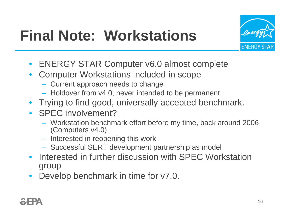

# **Final Note: Workstations**

- ENERGY STAR Computer v6.0 almost complete
- $\bullet$  Computer Workstations included in scope
	- Current approach needs to change
	- Holdover from v4.0, never intended to be permanent
- Trying to find good, universally accepted benchmark.
- **SPEC** involvement?
	- Workstation benchmark effort before my time, back around 2006 (Computers v4.0)
	- $-$  Interested in reopening this work
	- Successful SERT development partnership as model
- Interested in further discussion with SPEC Workstation group
- •Develop benchmark in time for  $v7.0$ .